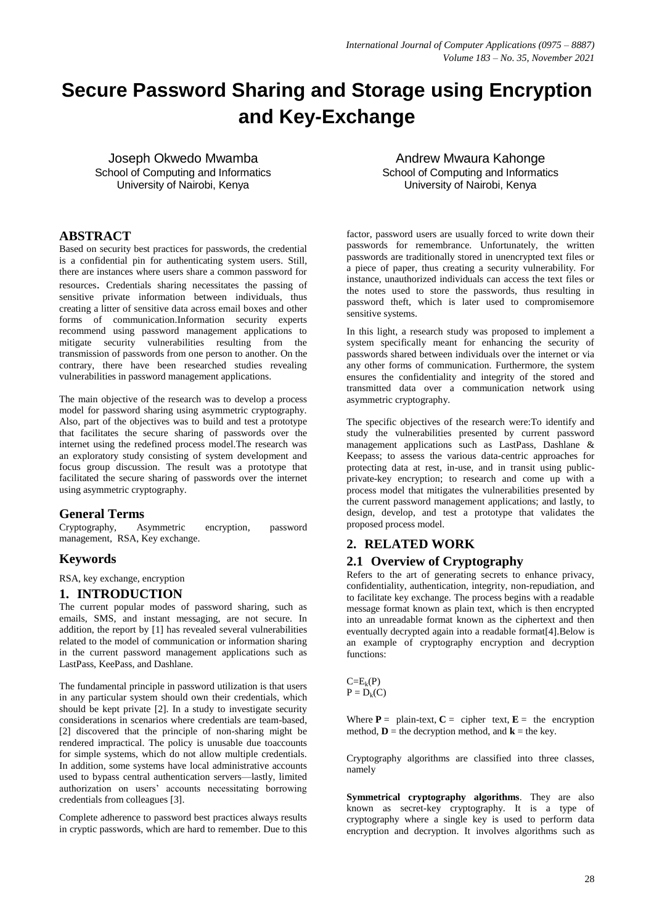# **Secure Password Sharing and Storage using Encryption and Key-Exchange**

Joseph Okwedo Mwamba School of Computing and Informatics University of Nairobi, Kenya

# **ABSTRACT**

Based on security best practices for passwords, the credential is a confidential pin for authenticating system users. Still, there are instances where users share a common password for resources. Credentials sharing necessitates the passing of sensitive private information between individuals, thus creating a litter of sensitive data across email boxes and other forms of communication.Information security experts recommend using password management applications to mitigate security vulnerabilities resulting from the transmission of passwords from one person to another. On the contrary, there have been researched studies revealing vulnerabilities in password management applications.

The main objective of the research was to develop a process model for password sharing using asymmetric cryptography. Also, part of the objectives was to build and test a prototype that facilitates the secure sharing of passwords over the internet using the redefined process model.The research was an exploratory study consisting of system development and focus group discussion. The result was a prototype that facilitated the secure sharing of passwords over the internet using asymmetric cryptography.

# **General Terms**

Cryptography, Asymmetric encryption, password management, RSA, Key exchange.

# **Keywords**

RSA, key exchange, encryption

### **1. INTRODUCTION**

The current popular modes of password sharing, such as emails, SMS, and instant messaging, are not secure. In addition, the report by [1] has revealed several vulnerabilities related to the model of communication or information sharing in the current password management applications such as LastPass, KeePass, and Dashlane.

The fundamental principle in password utilization is that users in any particular system should own their credentials, which should be kept private [2]. In a study to investigate security considerations in scenarios where credentials are team-based, [2] discovered that the principle of non-sharing might be rendered impractical. The policy is unusable due toaccounts for simple systems, which do not allow multiple credentials. In addition, some systems have local administrative accounts used to bypass central authentication servers—lastly, limited authorization on users' accounts necessitating borrowing credentials from colleagues [3].

Complete adherence to password best practices always results in cryptic passwords, which are hard to remember. Due to this

Andrew Mwaura Kahonge School of Computing and Informatics University of Nairobi, Kenya

factor, password users are usually forced to write down their passwords for remembrance. Unfortunately, the written passwords are traditionally stored in unencrypted text files or a piece of paper, thus creating a security vulnerability. For instance, unauthorized individuals can access the text files or the notes used to store the passwords, thus resulting in password theft, which is later used to compromisemore sensitive systems.

In this light, a research study was proposed to implement a system specifically meant for enhancing the security of passwords shared between individuals over the internet or via any other forms of communication. Furthermore, the system ensures the confidentiality and integrity of the stored and transmitted data over a communication network using asymmetric cryptography.

The specific objectives of the research were:To identify and study the vulnerabilities presented by current password management applications such as LastPass, Dashlane & Keepass; to assess the various data-centric approaches for protecting data at rest, in-use, and in transit using publicprivate-key encryption; to research and come up with a process model that mitigates the vulnerabilities presented by the current password management applications; and lastly, to design, develop, and test a prototype that validates the proposed process model.

# **2. RELATED WORK**

## **2.1 Overview of Cryptography**

Refers to the art of generating secrets to enhance privacy, confidentiality, authentication, integrity, non-repudiation, and to facilitate key exchange. The process begins with a readable message format known as plain text, which is then encrypted into an unreadable format known as the ciphertext and then eventually decrypted again into a readable format[4].Below is an example of cryptography encryption and decryption functions:

 $C = E_k(P)$  $P = D_k(C)$ 

Where  $P =$  plain-text,  $C =$  cipher text,  $E =$  the encryption method,  $\mathbf{D}$  = the decryption method, and  $\mathbf{k}$  = the key.

Cryptography algorithms are classified into three classes, namely

**Symmetrical cryptography algorithms**. They are also known as secret-key cryptography. It is a type of cryptography where a single key is used to perform data encryption and decryption. It involves algorithms such as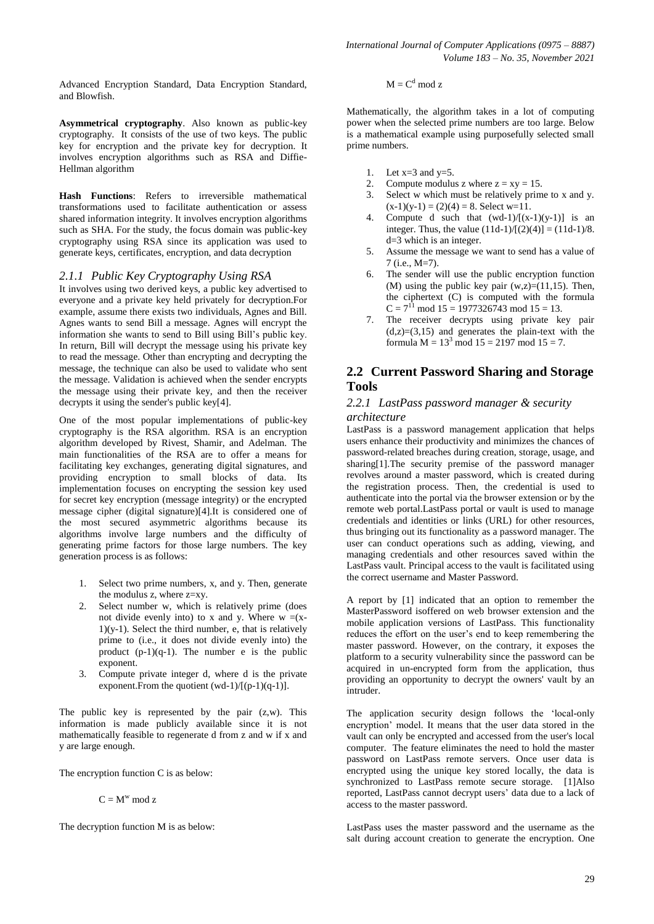Advanced Encryption Standard, Data Encryption Standard, and Blowfish.

**Asymmetrical cryptography**. Also known as public-key cryptography. It consists of the use of two keys. The public key for encryption and the private key for decryption. It involves encryption algorithms such as RSA and Diffie-Hellman algorithm

**Hash Functions**: Refers to irreversible mathematical transformations used to facilitate authentication or assess shared information integrity. It involves encryption algorithms such as SHA. For the study, the focus domain was public-key cryptography using RSA since its application was used to generate keys, certificates, encryption, and data decryption

#### *2.1.1 Public Key Cryptography Using RSA*

It involves using two derived keys, a public key advertised to everyone and a private key held privately for decryption.For example, assume there exists two individuals, Agnes and Bill. Agnes wants to send Bill a message. Agnes will encrypt the information she wants to send to Bill using Bill's public key. In return, Bill will decrypt the message using his private key to read the message. Other than encrypting and decrypting the message, the technique can also be used to validate who sent the message. Validation is achieved when the sender encrypts the message using their private key, and then the receiver decrypts it using the sender's public key[4].

One of the most popular implementations of public-key cryptography is the RSA algorithm. RSA is an encryption algorithm developed by Rivest, Shamir, and Adelman. The main functionalities of the RSA are to offer a means for facilitating key exchanges, generating digital signatures, and providing encryption to small blocks of data. Its implementation focuses on encrypting the session key used for secret key encryption (message integrity) or the encrypted message cipher (digital signature)[4].It is considered one of the most secured asymmetric algorithms because its algorithms involve large numbers and the difficulty of generating prime factors for those large numbers. The key generation process is as follows:

- 1. Select two prime numbers, x, and y. Then, generate the modulus z, where  $z=xy$ .
- 2. Select number w, which is relatively prime (does not divide evenly into) to x and y. Where  $w = (x 1)(y-1)$ . Select the third number, e, that is relatively prime to (i.e., it does not divide evenly into) the product  $(p-1)(q-1)$ . The number e is the public exponent.
- 3. Compute private integer d, where d is the private exponent. From the quotient  $(wd-1)/[(p-1)(q-1)]$ .

The public key is represented by the pair (z,w). This information is made publicly available since it is not mathematically feasible to regenerate d from z and w if x and y are large enough.

The encryption function C is as below:

 $C = M^w \mod z$ 

The decryption function M is as below:

$$
M=C^d \ mod \ z
$$

Mathematically, the algorithm takes in a lot of computing power when the selected prime numbers are too large. Below is a mathematical example using purposefully selected small prime numbers.

- 1. Let  $x=3$  and  $y=5$ .
- 2. Compute modulus z where  $z = xy = 15$ .
- 3. Select w which must be relatively prime to x and y.  $(x-1)(y-1) = (2)(4) = 8$ . Select w=11.
- 4. Compute d such that  $(wd-1)/[(x-1)(y-1)]$  is an integer. Thus, the value  $(11d-1)/[(2)(4)] = (11d-1)/8$ . d=3 which is an integer.
- 5. Assume the message we want to send has a value of 7 (i.e., M=7).
- 6. The sender will use the public encryption function (M) using the public key pair  $(w,z)=(11,15)$ . Then, the ciphertext (C) is computed with the formula  $C = 7^{11}$  mod 15 = 1977326743 mod 15 = 13.
- 7. The receiver decrypts using private key pair  $(d,z)=(3,15)$  and generates the plain-text with the formula  $M = 13^3$  mod  $15 = 2197$  mod  $15 = 7$ .

## **2.2 Current Password Sharing and Storage Tools**

### *2.2.1 LastPass password manager & security architecture*

LastPass is a password management application that helps users enhance their productivity and minimizes the chances of password-related breaches during creation, storage, usage, and sharing[1].The security premise of the password manager revolves around a master password, which is created during the registration process. Then, the credential is used to authenticate into the portal via the browser extension or by the remote web portal.LastPass portal or vault is used to manage credentials and identities or links (URL) for other resources, thus bringing out its functionality as a password manager. The user can conduct operations such as adding, viewing, and managing credentials and other resources saved within the LastPass vault. Principal access to the vault is facilitated using the correct username and Master Password.

A report by [1] indicated that an option to remember the MasterPassword isoffered on web browser extension and the mobile application versions of LastPass. This functionality reduces the effort on the user's end to keep remembering the master password. However, on the contrary, it exposes the platform to a security vulnerability since the password can be acquired in un-encrypted form from the application, thus providing an opportunity to decrypt the owners' vault by an intruder.

The application security design follows the 'local-only encryption' model. It means that the user data stored in the vault can only be encrypted and accessed from the user's local computer. The feature eliminates the need to hold the master password on LastPass remote servers. Once user data is encrypted using the unique key stored locally, the data is synchronized to LastPass remote secure storage. [1]Also reported, LastPass cannot decrypt users' data due to a lack of access to the master password.

LastPass uses the master password and the username as the salt during account creation to generate the encryption. One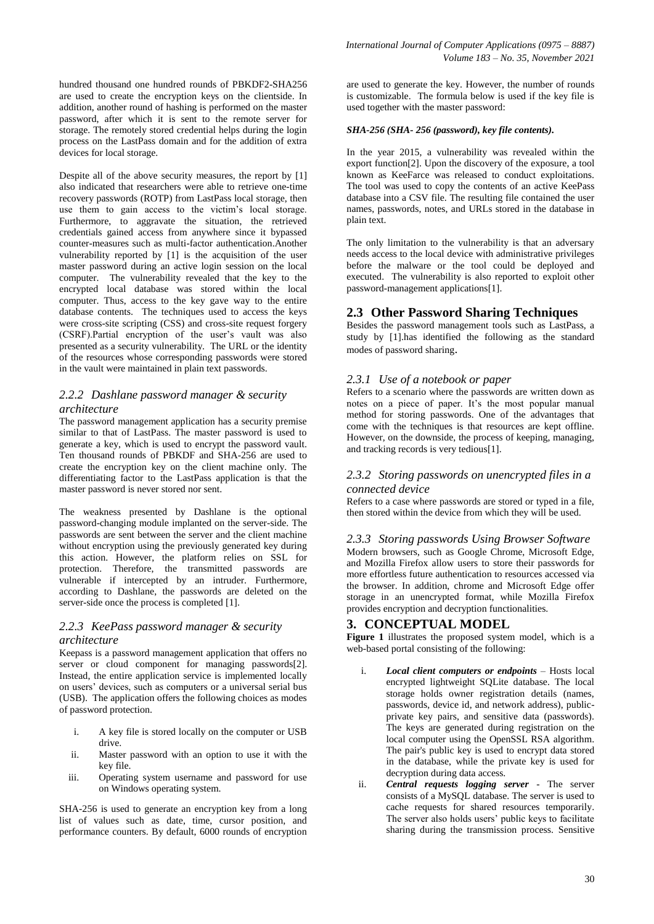hundred thousand one hundred rounds of PBKDF2-SHA256 are used to create the encryption keys on the clientside. In addition, another round of hashing is performed on the master password, after which it is sent to the remote server for storage. The remotely stored credential helps during the login process on the LastPass domain and for the addition of extra devices for local storage.

Despite all of the above security measures, the report by [1] also indicated that researchers were able to retrieve one-time recovery passwords (ROTP) from LastPass local storage, then use them to gain access to the victim's local storage. Furthermore, to aggravate the situation, the retrieved credentials gained access from anywhere since it bypassed counter-measures such as multi-factor authentication.Another vulnerability reported by [1] is the acquisition of the user master password during an active login session on the local computer. The vulnerability revealed that the key to the encrypted local database was stored within the local computer. Thus, access to the key gave way to the entire database contents. The techniques used to access the keys were cross-site scripting (CSS) and cross-site request forgery (CSRF).Partial encryption of the user's vault was also presented as a security vulnerability. The URL or the identity of the resources whose corresponding passwords were stored in the vault were maintained in plain text passwords.

### *2.2.2 Dashlane password manager & security architecture*

The password management application has a security premise similar to that of LastPass. The master password is used to generate a key, which is used to encrypt the password vault. Ten thousand rounds of PBKDF and SHA-256 are used to create the encryption key on the client machine only. The differentiating factor to the LastPass application is that the master password is never stored nor sent.

The weakness presented by Dashlane is the optional password-changing module implanted on the server-side. The passwords are sent between the server and the client machine without encryption using the previously generated key during this action. However, the platform relies on SSL for protection. Therefore, the transmitted passwords are vulnerable if intercepted by an intruder. Furthermore, according to Dashlane, the passwords are deleted on the server-side once the process is completed [1].

### *2.2.3 KeePass password manager & security architecture*

Keepass is a password management application that offers no server or cloud component for managing passwords[2]. Instead, the entire application service is implemented locally on users' devices, such as computers or a universal serial bus (USB). The application offers the following choices as modes of password protection.

- i. A key file is stored locally on the computer or USB drive.
- ii. Master password with an option to use it with the key file.
- iii. Operating system username and password for use on Windows operating system.

SHA-256 is used to generate an encryption key from a long list of values such as date, time, cursor position, and performance counters. By default, 6000 rounds of encryption

are used to generate the key. However, the number of rounds is customizable. The formula below is used if the key file is used together with the master password:

### *SHA-256 (SHA- 256 (password), key file contents).*

In the year 2015, a vulnerability was revealed within the export function[2]. Upon the discovery of the exposure, a tool known as KeeFarce was released to conduct exploitations. The tool was used to copy the contents of an active KeePass database into a CSV file. The resulting file contained the user names, passwords, notes, and URLs stored in the database in plain text.

The only limitation to the vulnerability is that an adversary needs access to the local device with administrative privileges before the malware or the tool could be deployed and executed. The vulnerability is also reported to exploit other password-management applications[1].

### **2.3 Other Password Sharing Techniques**

Besides the password management tools such as LastPass, a study by [1].has identified the following as the standard modes of password sharing.

### *2.3.1 Use of a notebook or paper*

Refers to a scenario where the passwords are written down as notes on a piece of paper. It's the most popular manual method for storing passwords. One of the advantages that come with the techniques is that resources are kept offline. However, on the downside, the process of keeping, managing, and tracking records is very tedious[1].

### *2.3.2 Storing passwords on unencrypted files in a connected device*

Refers to a case where passwords are stored or typed in a file, then stored within the device from which they will be used.

### *2.3.3 Storing passwords Using Browser Software*

Modern browsers, such as Google Chrome, Microsoft Edge, and Mozilla Firefox allow users to store their passwords for more effortless future authentication to resources accessed via the browser. In addition, chrome and Microsoft Edge offer storage in an unencrypted format, while Mozilla Firefox provides encryption and decryption functionalities.

## **3. CONCEPTUAL MODEL**

**[Figure 1](#page-3-0)** illustrates the proposed system model, which is a web-based portal consisting of the following:

- i. *Local client computers or endpoints* Hosts local encrypted lightweight SQLite database. The local storage holds owner registration details (names, passwords, device id, and network address), publicprivate key pairs, and sensitive data (passwords). The keys are generated during registration on the local computer using the OpenSSL RSA algorithm. The pair's public key is used to encrypt data stored in the database, while the private key is used for decryption during data access.
- ii. *Central requests logging server* The server consists of a MySQL database. The server is used to cache requests for shared resources temporarily. The server also holds users' public keys to facilitate sharing during the transmission process. Sensitive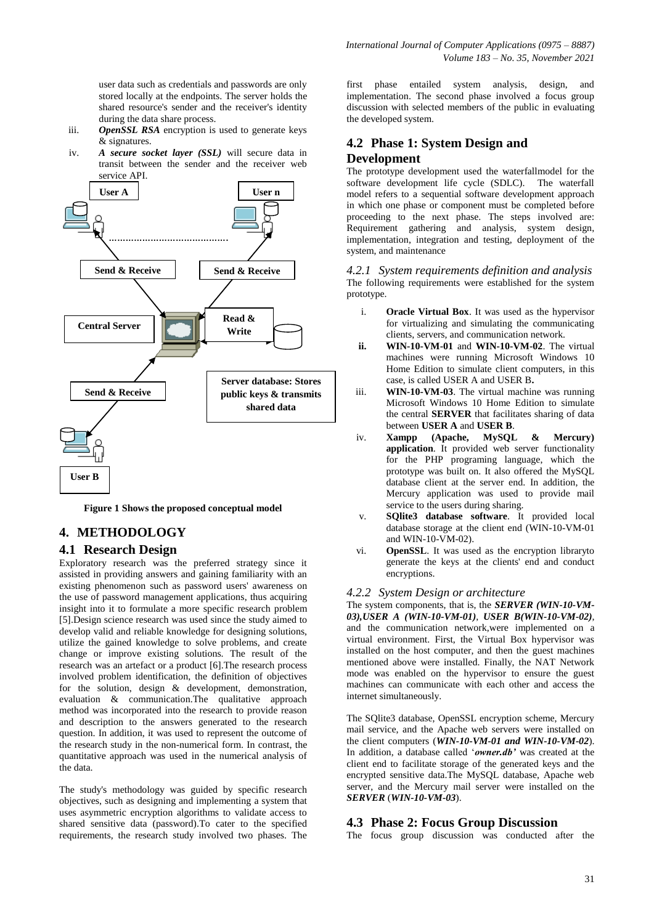user data such as credentials and passwords are only stored locally at the endpoints. The server holds the shared resource's sender and the receiver's identity during the data share process.

- iii. *OpenSSL RSA* encryption is used to generate keys & signatures.
- iv. *A secure socket layer (SSL)* will secure data in transit between the sender and the receiver web service API.



**Figure 1 Shows the proposed conceptual model**

# <span id="page-3-0"></span>**4. METHODOLOGY**

## **4.1 Research Design**

Exploratory research was the preferred strategy since it assisted in providing answers and gaining familiarity with an existing phenomenon such as password users' awareness on the use of password management applications, thus acquiring insight into it to formulate a more specific research problem [5].Design science research was used since the study aimed to develop valid and reliable knowledge for designing solutions, utilize the gained knowledge to solve problems, and create change or improve existing solutions. The result of the research was an artefact or a product [6].The research process involved problem identification, the definition of objectives for the solution, design & development, demonstration, evaluation & communication.The qualitative approach method was incorporated into the research to provide reason and description to the answers generated to the research question. In addition, it was used to represent the outcome of the research study in the non-numerical form. In contrast, the quantitative approach was used in the numerical analysis of the data.

The study's methodology was guided by specific research objectives, such as designing and implementing a system that uses asymmetric encryption algorithms to validate access to shared sensitive data (password).To cater to the specified requirements, the research study involved two phases. The

first phase entailed system analysis, design, and implementation. The second phase involved a focus group discussion with selected members of the public in evaluating the developed system.

# **4.2 Phase 1: System Design and Development**

The prototype development used the waterfallmodel for the software development life cycle (SDLC). The waterfall model refers to a sequential software development approach in which one phase or component must be completed before proceeding to the next phase. The steps involved are: Requirement gathering and analysis, system design, implementation, integration and testing, deployment of the system, and maintenance

*4.2.1 System requirements definition and analysis* The following requirements were established for the system prototype.

- i. **Oracle Virtual Box**. It was used as the hypervisor for virtualizing and simulating the communicating clients, servers, and communication network.
- **ii. WIN-10-VM-01** and **WIN-10-VM-02**. The virtual machines were running Microsoft Windows 10 Home Edition to simulate client computers, in this case, is called USER A and USER B**.**
- iii. **WIN-10-VM-03**. The virtual machine was running Microsoft Windows 10 Home Edition to simulate the central **SERVER** that facilitates sharing of data between **USER A** and **USER B**.
- iv. **Xampp (Apache, MySQL & Mercury) application**. It provided web server functionality for the PHP programing language, which the prototype was built on. It also offered the MySQL database client at the server end. In addition, the Mercury application was used to provide mail service to the users during sharing.
- v. **SQlite3 database software**. It provided local database storage at the client end (WIN-10-VM-01 and WIN-10-VM-02).
- vi. **OpenSSL**. It was used as the encryption libraryto generate the keys at the clients' end and conduct encryptions.

### *4.2.2 System Design or architecture*

The system components, that is, the *SERVER (WIN-10-VM-03),USER A (WIN-10-VM-01)*, *USER B(WIN-10-VM-02)*, and the communication network,were implemented on a virtual environment. First, the Virtual Box hypervisor was installed on the host computer, and then the guest machines mentioned above were installed. Finally, the NAT Network mode was enabled on the hypervisor to ensure the guest machines can communicate with each other and access the internet simultaneously.

The SQlite3 database, OpenSSL encryption scheme, Mercury mail service, and the Apache web servers were installed on the client computers (*WIN-10-VM-01 and WIN-10-VM-02*). In addition, a database called '*owner.db*' was created at the client end to facilitate storage of the generated keys and the encrypted sensitive data.The MySQL database, Apache web server, and the Mercury mail server were installed on the *SERVER* (*WIN-10-VM-03*).

## **4.3 Phase 2: Focus Group Discussion**

The focus group discussion was conducted after the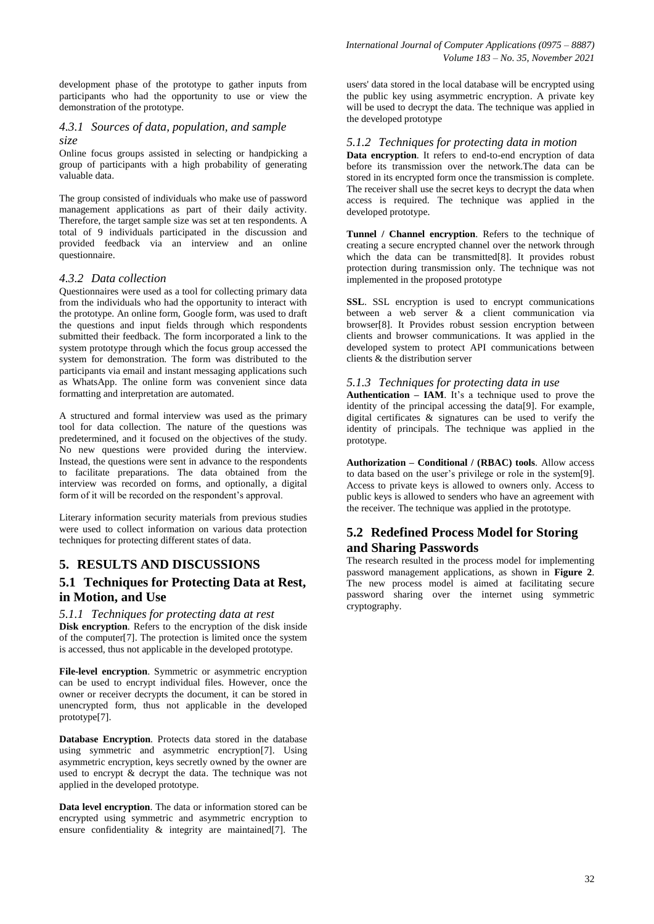development phase of the prototype to gather inputs from participants who had the opportunity to use or view the demonstration of the prototype.

### *4.3.1 Sources of data, population, and sample size*

Online focus groups assisted in selecting or handpicking a group of participants with a high probability of generating valuable data.

The group consisted of individuals who make use of password management applications as part of their daily activity. Therefore, the target sample size was set at ten respondents. A total of 9 individuals participated in the discussion and provided feedback via an interview and an online questionnaire.

### *4.3.2 Data collection*

Questionnaires were used as a tool for collecting primary data from the individuals who had the opportunity to interact with the prototype. An online form, Google form, was used to draft the questions and input fields through which respondents submitted their feedback. The form incorporated a link to the system prototype through which the focus group accessed the system for demonstration. The form was distributed to the participants via email and instant messaging applications such as WhatsApp. The online form was convenient since data formatting and interpretation are automated.

A structured and formal interview was used as the primary tool for data collection. The nature of the questions was predetermined, and it focused on the objectives of the study. No new questions were provided during the interview. Instead, the questions were sent in advance to the respondents to facilitate preparations. The data obtained from the interview was recorded on forms, and optionally, a digital form of it will be recorded on the respondent's approval.

Literary information security materials from previous studies were used to collect information on various data protection techniques for protecting different states of data.

# **5. RESULTS AND DISCUSSIONS**

# **5.1 Techniques for Protecting Data at Rest, in Motion, and Use**

# *5.1.1 Techniques for protecting data at rest*

**Disk encryption**. Refers to the encryption of the disk inside of the computer[7]. The protection is limited once the system is accessed, thus not applicable in the developed prototype.

**File-level encryption**. Symmetric or asymmetric encryption can be used to encrypt individual files. However, once the owner or receiver decrypts the document, it can be stored in unencrypted form, thus not applicable in the developed prototype[7].

**Database Encryption**. Protects data stored in the database using symmetric and asymmetric encryption[7]. Using asymmetric encryption, keys secretly owned by the owner are used to encrypt & decrypt the data. The technique was not applied in the developed prototype.

**Data level encryption**. The data or information stored can be encrypted using symmetric and asymmetric encryption to ensure confidentiality & integrity are maintained[7]. The

users' data stored in the local database will be encrypted using the public key using asymmetric encryption. A private key will be used to decrypt the data. The technique was applied in the developed prototype

### *5.1.2 Techniques for protecting data in motion*

**Data encryption.** It refers to end-to-end encryption of data before its transmission over the network.The data can be stored in its encrypted form once the transmission is complete. The receiver shall use the secret keys to decrypt the data when access is required. The technique was applied in the developed prototype.

**Tunnel / Channel encryption**. Refers to the technique of creating a secure encrypted channel over the network through which the data can be transmitted[8]. It provides robust protection during transmission only. The technique was not implemented in the proposed prototype

**SSL**. SSL encryption is used to encrypt communications between a web server & a client communication via browser[8]. It Provides robust session encryption between clients and browser communications. It was applied in the developed system to protect API communications between clients & the distribution server

### *5.1.3 Techniques for protecting data in use*

**Authentication – IAM**. It's a technique used to prove the identity of the principal accessing the data[9]. For example, digital certificates & signatures can be used to verify the identity of principals. The technique was applied in the prototype.

**Authorization – Conditional / (RBAC) tools**. Allow access to data based on the user's privilege or role in the system[9]. Access to private keys is allowed to owners only. Access to public keys is allowed to senders who have an agreement with the receiver. The technique was applied in the prototype.

# **5.2 Redefined Process Model for Storing and Sharing Passwords**

The research resulted in the process model for implementing password management applications, as shown in **[Figure 2](#page-5-0)**. The new process model is aimed at facilitating secure password sharing over the internet using symmetric cryptography.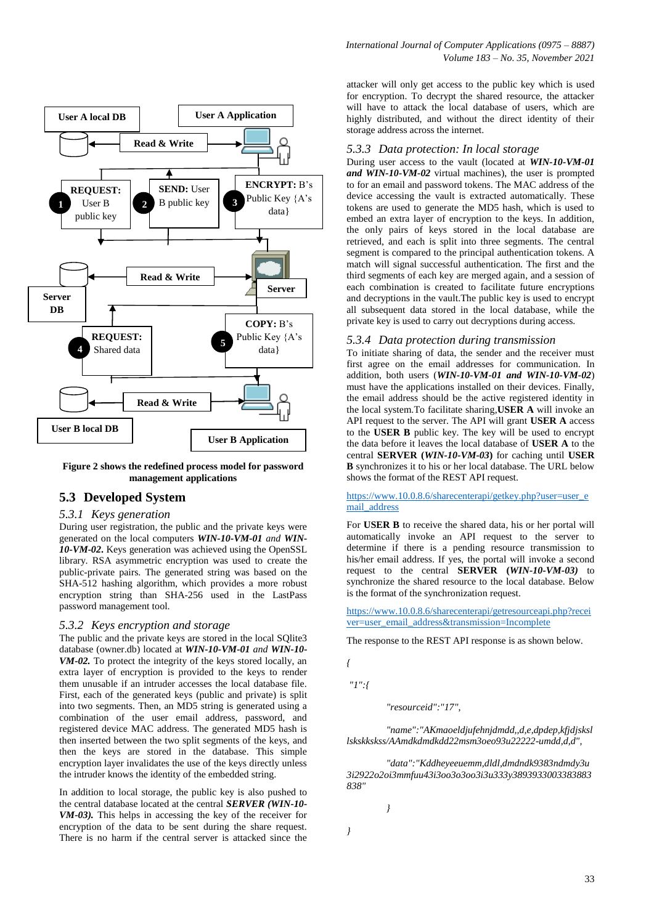

<span id="page-5-0"></span>**Figure 2 shows the redefined process model for password management applications**

### **5.3 Developed System**

#### *5.3.1 Keys generation*

During user registration, the public and the private keys were generated on the local computers *WIN-10-VM-01 and WIN-10-VM-02***.** Keys generation was achieved using the OpenSSL library. RSA asymmetric encryption was used to create the public-private pairs. The generated string was based on the SHA-512 hashing algorithm, which provides a more robust encryption string than SHA-256 used in the LastPass password management tool.

#### *5.3.2 Keys encryption and storage*

The public and the private keys are stored in the local SQlite3 database (owner.db) located at *WIN-10-VM-01 and WIN-10- VM-02.* To protect the integrity of the keys stored locally, an extra layer of encryption is provided to the keys to render them unusable if an intruder accesses the local database file. First, each of the generated keys (public and private) is split into two segments. Then, an MD5 string is generated using a combination of the user email address, password, and registered device MAC address. The generated MD5 hash is then inserted between the two split segments of the keys, and then the keys are stored in the database. This simple encryption layer invalidates the use of the keys directly unless the intruder knows the identity of the embedded string.

In addition to local storage, the public key is also pushed to the central database located at the central *SERVER (WIN-10- VM-03).* This helps in accessing the key of the receiver for encryption of the data to be sent during the share request. There is no harm if the central server is attacked since the

attacker will only get access to the public key which is used for encryption. To decrypt the shared resource, the attacker will have to attack the local database of users, which are highly distributed, and without the direct identity of their storage address across the internet.

### *5.3.3 Data protection: In local storage*

During user access to the vault (located at *WIN-10-VM-01 and WIN-10-VM-02* virtual machines), the user is prompted to for an email and password tokens. The MAC address of the device accessing the vault is extracted automatically. These tokens are used to generate the MD5 hash, which is used to embed an extra layer of encryption to the keys. In addition, the only pairs of keys stored in the local database are retrieved, and each is split into three segments. The central segment is compared to the principal authentication tokens. A match will signal successful authentication. The first and the third segments of each key are merged again, and a session of each combination is created to facilitate future encryptions and decryptions in the vault.The public key is used to encrypt all subsequent data stored in the local database, while the private key is used to carry out decryptions during access.

### *5.3.4 Data protection during transmission*

To initiate sharing of data, the sender and the receiver must first agree on the email addresses for communication. In addition, both users (*WIN-10-VM-01 and WIN-10-VM-02*) must have the applications installed on their devices. Finally, the email address should be the active registered identity in the local system.To facilitate sharing,**USER A** will invoke an API request to the server. The API will grant **USER A** access to the **USER B** public key. The key will be used to encrypt the data before it leaves the local database of **USER A** to the central **SERVER (***WIN-10-VM-03***)** for caching until **USER B** synchronizes it to his or her local database. The URL below shows the format of the REST API request.

#### [https://www.10.0.8.6/sharecenterapi/getkey.php?user=user\\_e](https://www.10.0.8.6/sharecenterapi/getkey.php?user=user_email_address) [mail\\_address](https://www.10.0.8.6/sharecenterapi/getkey.php?user=user_email_address)

For **USER B** to receive the shared data, his or her portal will automatically invoke an API request to the server to determine if there is a pending resource transmission to his/her email address. If yes, the portal will invoke a second request to the central **SERVER (***WIN-10-VM-03)* to synchronize the shared resource to the local database. Below is the format of the synchronization request.

[https://www.10.0.8.6/sharecenterapi/getresourceapi.php?recei](https://www.10.0.8.6/sharecenterapi/getresourceapi.php?receiver=user_email_address&transmission=Incomplete) [ver=user\\_email\\_address&transmission=Incomplete](https://www.10.0.8.6/sharecenterapi/getresourceapi.php?receiver=user_email_address&transmission=Incomplete)

The response to the REST API response is as shown below.

```
{
```
*"1":{*

*"resourceid":"17",*

*"name":"AKmaoeldjufehnjdmdd,,d,e,dpdep,kfjdjsksl lskskkskss/AAmdkdmdkdd22msm3oeo93u22222-umdd,d,d",*

*"data":"Kddheyeeuemm,dldl,dmdndk9383ndmdy3u 3i2922o2oi3mmfuu43i3oo3o3oo3i3u333y3893933003383883 838"*

*}*

*}*

33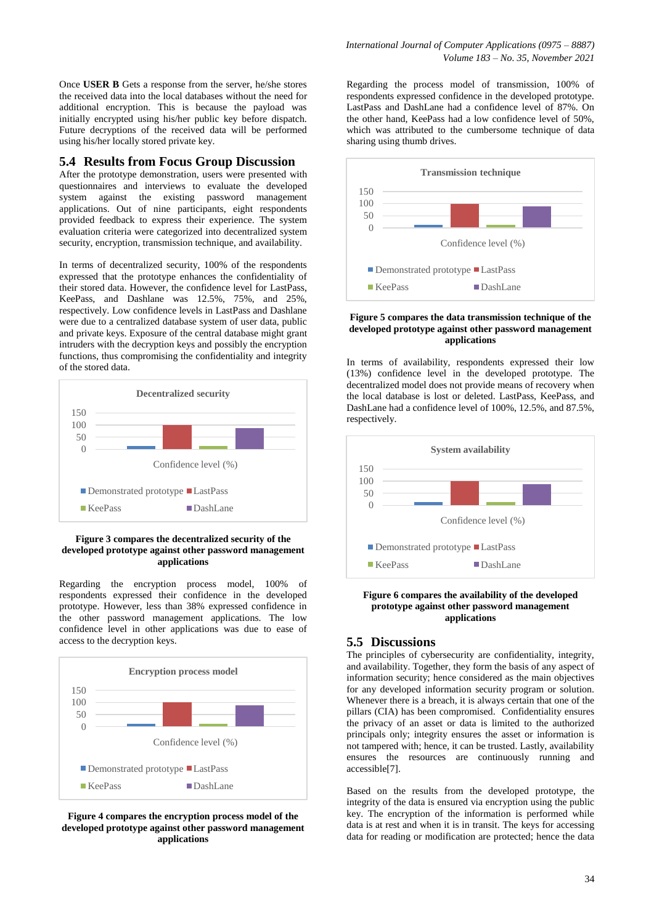Once **USER B** Gets a response from the server, he/she stores the received data into the local databases without the need for additional encryption. This is because the payload was initially encrypted using his/her public key before dispatch. Future decryptions of the received data will be performed using his/her locally stored private key.

### **5.4 Results from Focus Group Discussion**

After the prototype demonstration, users were presented with questionnaires and interviews to evaluate the developed system against the existing password management applications. Out of nine participants, eight respondents provided feedback to express their experience. The system evaluation criteria were categorized into decentralized system security, encryption, transmission technique, and availability.

In terms of decentralized security, 100% of the respondents expressed that the prototype enhances the confidentiality of their stored data. However, the confidence level for LastPass, KeePass, and Dashlane was 12.5%, 75%, and 25%, respectively. Low confidence levels in LastPass and Dashlane were due to a centralized database system of user data, public and private keys. Exposure of the central database might grant intruders with the decryption keys and possibly the encryption functions, thus compromising the confidentiality and integrity of the stored data.



#### **Figure 3 compares the decentralized security of the developed prototype against other password management applications**

Regarding the encryption process model, 100% of respondents expressed their confidence in the developed prototype. However, less than 38% expressed confidence in the other password management applications. The low confidence level in other applications was due to ease of access to the decryption keys.



#### **Figure 4 compares the encryption process model of the developed prototype against other password management applications**

Regarding the process model of transmission, 100% of respondents expressed confidence in the developed prototype. LastPass and DashLane had a confidence level of 87%. On the other hand, KeePass had a low confidence level of 50%, which was attributed to the cumbersome technique of data sharing using thumb drives.



#### **Figure 5 compares the data transmission technique of the developed prototype against other password management applications**

In terms of availability, respondents expressed their low (13%) confidence level in the developed prototype. The decentralized model does not provide means of recovery when the local database is lost or deleted. LastPass, KeePass, and DashLane had a confidence level of 100%, 12.5%, and 87.5%, respectively.



**Figure 6 compares the availability of the developed prototype against other password management applications**

### **5.5 Discussions**

The principles of cybersecurity are confidentiality, integrity, and availability. Together, they form the basis of any aspect of information security; hence considered as the main objectives for any developed information security program or solution. Whenever there is a breach, it is always certain that one of the pillars (CIA) has been compromised. Confidentiality ensures the privacy of an asset or data is limited to the authorized principals only; integrity ensures the asset or information is not tampered with; hence, it can be trusted. Lastly, availability ensures the resources are continuously running and accessible[7].

Based on the results from the developed prototype, the integrity of the data is ensured via encryption using the public key. The encryption of the information is performed while data is at rest and when it is in transit. The keys for accessing data for reading or modification are protected; hence the data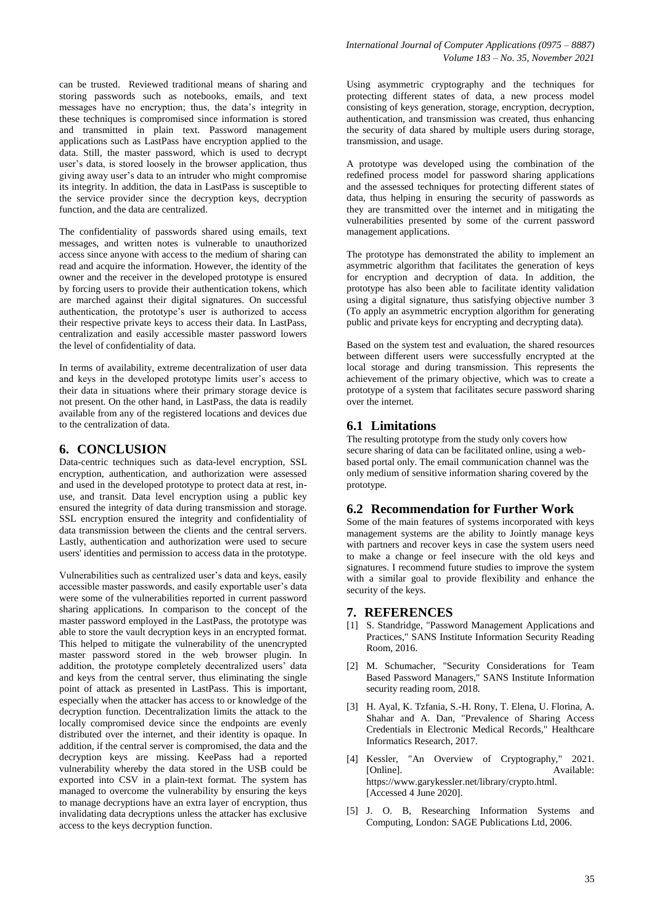can be trusted. Reviewed traditional means of sharing and storing passwords such as notebooks, emails, and text messages have no encryption; thus, the data's integrity in these techniques is compromised since information is stored and transmitted in plain text. Password management applications such as LastPass have encryption applied to the data. Still, the master password, which is used to decrypt user's data, is stored loosely in the browser application, thus giving away user's data to an intruder who might compromise its integrity. In addition, the data in LastPass is susceptible to the service provider since the decryption keys, decryption function, and the data are centralized.

The confidentiality of passwords shared using emails, text messages, and written notes is vulnerable to unauthorized access since anyone with access to the medium of sharing can read and acquire the information. However, the identity of the owner and the receiver in the developed prototype is ensured by forcing users to provide their authentication tokens, which are marched against their digital signatures. On successful authentication, the prototype's user is authorized to access their respective private keys to access their data. In LastPass, centralization and easily accessible master password lowers the level of confidentiality of data.

In terms of availability, extreme decentralization of user data and keys in the developed prototype limits user's access to their data in situations where their primary storage device is not present. On the other hand, in LastPass, the data is readily available from any of the registered locations and devices due to the centralization of data.

### **6. CONCLUSION**

Data-centric techniques such as data-level encryption, SSL encryption, authentication, and authorization were assessed and used in the developed prototype to protect data at rest, inuse, and transit. Data level encryption using a public key ensured the integrity of data during transmission and storage. SSL encryption ensured the integrity and confidentiality of data transmission between the clients and the central servers. Lastly, authentication and authorization were used to secure users' identities and permission to access data in the prototype.

Vulnerabilities such as centralized user's data and keys, easily accessible master passwords, and easily exportable user's data were some of the vulnerabilities reported in current password sharing applications. In comparison to the concept of the master password employed in the LastPass, the prototype was able to store the vault decryption keys in an encrypted format. This helped to mitigate the vulnerability of the unencrypted master password stored in the web browser plugin. In addition, the prototype completely decentralized users' data and keys from the central server, thus eliminating the single point of attack as presented in LastPass. This is important, especially when the attacker has access to or knowledge of the decryption function. Decentralization limits the attack to the locally compromised device since the endpoints are evenly distributed over the internet, and their identity is opaque. In addition, if the central server is compromised, the data and the decryption keys are missing. KeePass had a reported vulnerability whereby the data stored in the USB could be exported into CSV in a plain-text format. The system has managed to overcome the vulnerability by ensuring the keys to manage decryptions have an extra layer of encryption, thus invalidating data decryptions unless the attacker has exclusive access to the keys decryption function.

Using asymmetric cryptography and the techniques for protecting different states of data, a new process model consisting of keys generation, storage, encryption, decryption, authentication, and transmission was created, thus enhancing the security of data shared by multiple users during storage, transmission, and usage.

A prototype was developed using the combination of the redefined process model for password sharing applications and the assessed techniques for protecting different states of data, thus helping in ensuring the security of passwords as they are transmitted over the internet and in mitigating the vulnerabilities presented by some of the current password management applications.

The prototype has demonstrated the ability to implement an asymmetric algorithm that facilitates the generation of keys for encryption and decryption of data. In addition, the prototype has also been able to facilitate identity validation using a digital signature, thus satisfying objective number 3 (To apply an asymmetric encryption algorithm for generating public and private keys for encrypting and decrypting data).

Based on the system test and evaluation, the shared resources between different users were successfully encrypted at the local storage and during transmission. This represents the achievement of the primary objective, which was to create a prototype of a system that facilitates secure password sharing over the internet.

## **6.1 Limitations**

The resulting prototype from the study only covers how secure sharing of data can be facilitated online, using a webbased portal only. The email communication channel was the only medium of sensitive information sharing covered by the prototype.

## **6.2 Recommendation for Further Work**

Some of the main features of systems incorporated with keys management systems are the ability to Jointly manage keys with partners and recover keys in case the system users need to make a change or feel insecure with the old keys and signatures. I recommend future studies to improve the system with a similar goal to provide flexibility and enhance the security of the keys.

## **7. REFERENCES**

- [1] S. Standridge, "Password Management Applications and Practices," SANS Institute Information Security Reading Room, 2016.
- [2] M. Schumacher, "Security Considerations for Team Based Password Managers," SANS Institute Information security reading room, 2018.
- [3] H. Ayal, K. Tzfania, S.-H. Rony, T. Elena, U. Florina, A. Shahar and A. Dan, "Prevalence of Sharing Access Credentials in Electronic Medical Records," Healthcare Informatics Research, 2017.
- [4] Kessler, "An Overview of Cryptography," 2021. [Online]. Available: https://www.garykessler.net/library/crypto.html. [Accessed 4 June 2020].
- [5] J. O. B, Researching Information Systems and Computing, London: SAGE Publications Ltd, 2006.